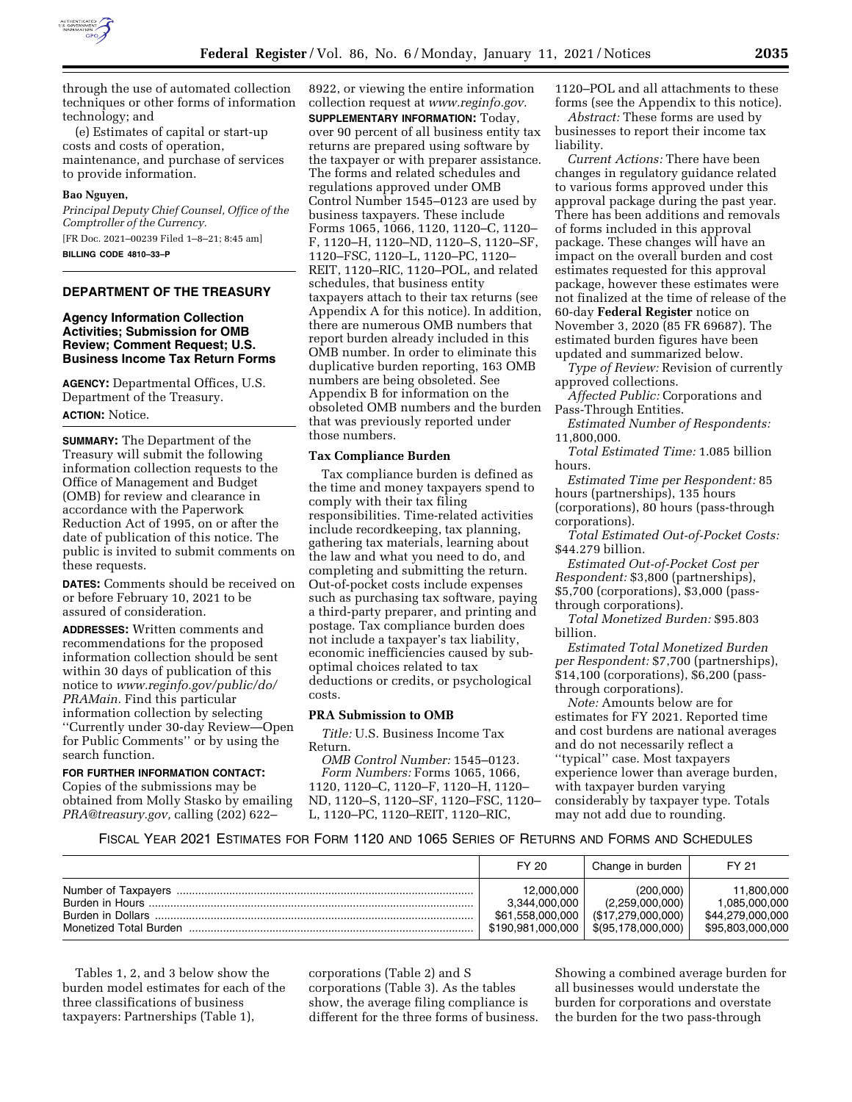

through the use of automated collection techniques or other forms of information technology; and

(e) Estimates of capital or start-up costs and costs of operation, maintenance, and purchase of services to provide information.

#### **Bao Nguyen,**

*Principal Deputy Chief Counsel, Office of the Comptroller of the Currency.*  [FR Doc. 2021–00239 Filed 1–8–21; 8:45 am] **BILLING CODE 4810–33–P** 

### **DEPARTMENT OF THE TREASURY**

### **Agency Information Collection Activities; Submission for OMB Review; Comment Request; U.S. Business Income Tax Return Forms**

**AGENCY:** Departmental Offices, U.S. Department of the Treasury.

#### **ACTION:** Notice.

**SUMMARY:** The Department of the Treasury will submit the following information collection requests to the Office of Management and Budget (OMB) for review and clearance in accordance with the Paperwork Reduction Act of 1995, on or after the date of publication of this notice. The public is invited to submit comments on these requests.

**DATES:** Comments should be received on or before February 10, 2021 to be assured of consideration.

**ADDRESSES:** Written comments and recommendations for the proposed information collection should be sent within 30 days of publication of this notice to *[www.reginfo.gov/public/do/](http://www.reginfo.gov/public/do/PRAMain) [PRAMain.](http://www.reginfo.gov/public/do/PRAMain)* Find this particular information collection by selecting ''Currently under 30-day Review—Open for Public Comments'' or by using the search function.

## **FOR FURTHER INFORMATION CONTACT:**

Copies of the submissions may be obtained from Molly Stasko by emailing *[PRA@treasury.gov,](mailto:PRA@treasury.gov)* calling (202) 622–

8922, or viewing the entire information collection request at *[www.reginfo.gov.](http://www.reginfo.gov)*  **SUPPLEMENTARY INFORMATION:** Today, over 90 percent of all business entity tax returns are prepared using software by the taxpayer or with preparer assistance. The forms and related schedules and regulations approved under OMB Control Number 1545–0123 are used by business taxpayers. These include Forms 1065, 1066, 1120, 1120–C, 1120– F, 1120–H, 1120–ND, 1120–S, 1120–SF, 1120–FSC, 1120–L, 1120–PC, 1120– REIT, 1120–RIC, 1120–POL, and related schedules, that business entity taxpayers attach to their tax returns (see Appendix A for this notice). In addition, there are numerous OMB numbers that report burden already included in this OMB number. In order to eliminate this duplicative burden reporting, 163 OMB numbers are being obsoleted. See Appendix B for information on the obsoleted OMB numbers and the burden that was previously reported under those numbers.

### **Tax Compliance Burden**

Tax compliance burden is defined as the time and money taxpayers spend to comply with their tax filing responsibilities. Time-related activities include recordkeeping, tax planning, gathering tax materials, learning about the law and what you need to do, and completing and submitting the return. Out-of-pocket costs include expenses such as purchasing tax software, paying a third-party preparer, and printing and postage. Tax compliance burden does not include a taxpayer's tax liability, economic inefficiencies caused by suboptimal choices related to tax deductions or credits, or psychological costs.

#### **PRA Submission to OMB**

*Title:* U.S. Business Income Tax Return.

*OMB Control Number:* 1545–0123. *Form Numbers:* Forms 1065, 1066, 1120, 1120–C, 1120–F, 1120–H, 1120– ND, 1120–S, 1120–SF, 1120–FSC, 1120– L, 1120–PC, 1120–REIT, 1120–RIC,

1120–POL and all attachments to these forms (see the Appendix to this notice).

*Abstract:* These forms are used by businesses to report their income tax liability.

*Current Actions:* There have been changes in regulatory guidance related to various forms approved under this approval package during the past year. There has been additions and removals of forms included in this approval package. These changes will have an impact on the overall burden and cost estimates requested for this approval package, however these estimates were not finalized at the time of release of the 60-day **Federal Register** notice on November 3, 2020 (85 FR 69687). The estimated burden figures have been updated and summarized below.

*Type of Review:* Revision of currently approved collections.

*Affected Public:* Corporations and Pass-Through Entities.

*Estimated Number of Respondents:*  11,800,000.

*Total Estimated Time:* 1.085 billion hours.

*Estimated Time per Respondent:* 85 hours (partnerships), 135 hours (corporations), 80 hours (pass-through corporations).

*Total Estimated Out-of-Pocket Costs:*  \$44.279 billion.

*Estimated Out-of-Pocket Cost per Respondent:* \$3,800 (partnerships), \$5,700 (corporations), \$3,000 (passthrough corporations).

*Total Monetized Burden:* \$95.803 billion.

*Estimated Total Monetized Burden per Respondent:* \$7,700 (partnerships), \$14,100 (corporations), \$6,200 (passthrough corporations).

*Note:* Amounts below are for estimates for FY 2021. Reported time and cost burdens are national averages and do not necessarily reflect a ''typical'' case. Most taxpayers experience lower than average burden, with taxpayer burden varying considerably by taxpayer type. Totals may not add due to rounding.

### FISCAL YEAR 2021 ESTIMATES FOR FORM 1120 AND 1065 SERIES OF RETURNS AND FORMS AND SCHEDULES

|                   | FY 20                                                                | Change in burden                                                         | FY 21                                                               |
|-------------------|----------------------------------------------------------------------|--------------------------------------------------------------------------|---------------------------------------------------------------------|
| Burden in Dollars | 12.000.000<br>3.344.000.000<br>\$61.558.000.000<br>\$190.981.000.000 | (200.000)<br>(2,259,000,000)<br>(\$17.279.000.000)<br>\$(95,178,000,000) | 11.800.000<br>1.085.000.000<br>\$44.279.000.000<br>\$95.803.000.000 |

Tables 1, 2, and 3 below show the burden model estimates for each of the three classifications of business taxpayers: Partnerships (Table 1),

corporations (Table 2) and S corporations (Table 3). As the tables show, the average filing compliance is different for the three forms of business.

Showing a combined average burden for all businesses would understate the burden for corporations and overstate the burden for the two pass-through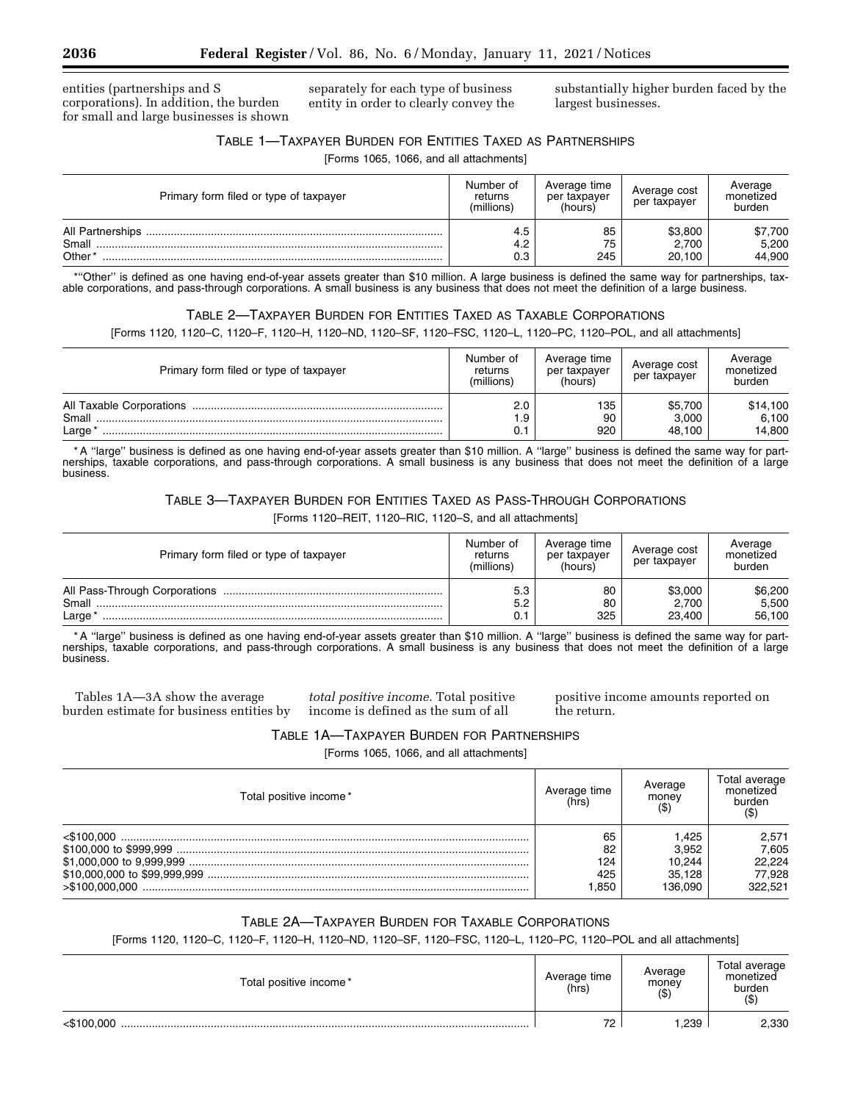entities (partnerships and S corporations). In addition, the burden for small and large businesses is shown separately for each type of business entity in order to clearly convey the substantially higher burden faced by the largest businesses.

## TABLE 1—TAXPAYER BURDEN FOR ENTITIES TAXED AS PARTNERSHIPS

[Forms 1065, 1066, and all attachments]

| Primary form filed or type of taxpayer | Number of<br>returns<br>(millions) | Average time<br>per taxpayer<br>(hours) | Average cost<br>per taxpayer | Average<br>monetized<br>burden |
|----------------------------------------|------------------------------------|-----------------------------------------|------------------------------|--------------------------------|
| Small<br>Other*                        | 4.5<br>4.2<br>0.3                  | 85<br>75<br>245                         | \$3,800<br>2.700<br>20.100   | \$7,700<br>5,200<br>44,900     |

\*''Other'' is defined as one having end-of-year assets greater than \$10 million. A large business is defined the same way for partnerships, taxable corporations, and pass-through corporations. A small business is any business that does not meet the definition of a large business.

## TABLE 2—TAXPAYER BURDEN FOR ENTITIES TAXED AS TAXABLE CORPORATIONS

[Forms 1120, 1120–C, 1120–F, 1120–H, 1120–ND, 1120–SF, 1120–FSC, 1120–L, 1120–PC, 1120–POL, and all attachments]

| Primary form filed or type of taxpayer | Number of<br>returns<br>(millions) | Average time<br>per taxpayer<br>(hours) | Average cost<br>per taxpayer | Average<br>monetized<br>burden |
|----------------------------------------|------------------------------------|-----------------------------------------|------------------------------|--------------------------------|
| Small<br>Large                         | 2.0                                | 135<br>90<br>920                        | \$5.700<br>3.000<br>48.100   | \$14,100<br>6,100<br>14.800    |

\* A ''large'' business is defined as one having end-of-year assets greater than \$10 million. A ''large'' business is defined the same way for partnerships, taxable corporations, and pass-through corporations. A small business is any business that does not meet the definition of a large business.

# TABLE 3—TAXPAYER BURDEN FOR ENTITIES TAXED AS PASS-THROUGH CORPORATIONS

[Forms 1120–REIT, 1120–RIC, 1120–S, and all attachments]

| Primary form filed or type of taxpayer | Number of<br>returns<br>(millions) | Average time<br>per taxpayer<br>(hours) | Average cost<br>per taxpayer | Average<br>monetized<br>burden |
|----------------------------------------|------------------------------------|-----------------------------------------|------------------------------|--------------------------------|
| Small<br>Large                         | 5.3<br>5.2                         | 80<br>80<br>325                         | \$3,000<br>2.700<br>23,400   | \$6,200<br>5,500<br>56,100     |

\* A ''large'' business is defined as one having end-of-year assets greater than \$10 million. A ''large'' business is defined the same way for partnerships, taxable corporations, and pass-through corporations. A small business is any business that does not meet the definition of a large business.

Tables 1A—3A show the average burden estimate for business entities by

*total positive income.* Total positive income is defined as the sum of all

positive income amounts reported on the return.

## TABLE 1A—TAXPAYER BURDEN FOR PARTNERSHIPS

[Forms 1065, 1066, and all attachments]

| Total positive income * | Average time<br>(hrs) | Average<br>money | Total average<br>monetized<br>burden |
|-------------------------|-----------------------|------------------|--------------------------------------|
| < \$100.000             | 65                    | 1.425            | 2,571                                |
|                         | 82                    | 3.952            | 7.605                                |
|                         | 124                   | 10.244           | 22.224                               |
|                         | 425                   | 35.128           | 77.928                               |
| >\$100.000.000          | .850                  | 136.090          | 322.521                              |

## TABLE 2A—TAXPAYER BURDEN FOR TAXABLE CORPORATIONS

[Forms 1120, 1120-C, 1120-F, 1120-H, 1120-ND, 1120-SF, 1120-FSC, 1120-L, 1120-PC, 1120-POL and all attachments]

| Total positive income* | Average time<br>(hrs) | Average<br>money<br>ΙФ. | Total average<br>monetized<br>burden<br>$($ \$ |
|------------------------|-----------------------|-------------------------|------------------------------------------------|
| <\$100.000             | 72                    | ,239                    | 2,330                                          |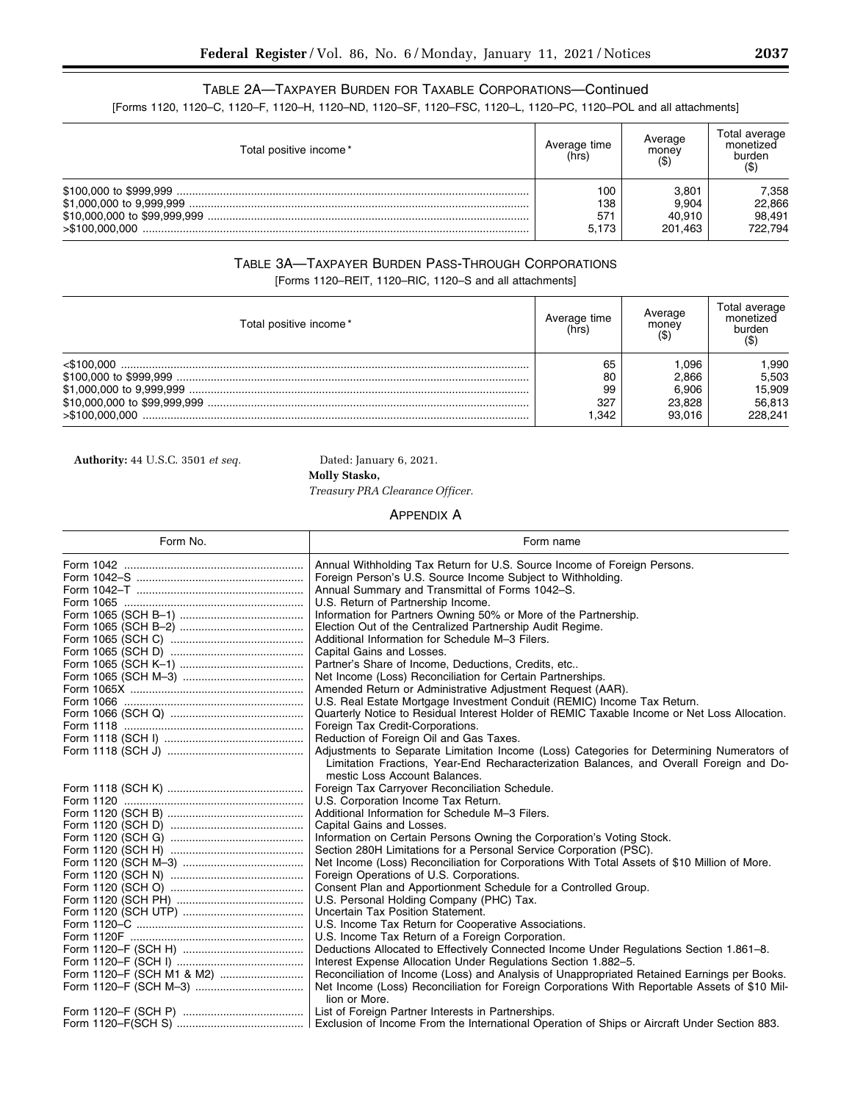# TABLE 2A—TAXPAYER BURDEN FOR TAXABLE CORPORATIONS—Continued

[Forms 1120, 1120–C, 1120–F, 1120–H, 1120–ND, 1120–SF, 1120–FSC, 1120–L, 1120–PC, 1120–POL and all attachments]

| Total positive income*       | Average time<br>(hrs) | Average<br>money<br>$($ \$) | Total average<br>monetized<br>burden<br>(\$ |
|------------------------------|-----------------------|-----------------------------|---------------------------------------------|
|                              | 100                   | 3.801                       | 7,358                                       |
| \$1,000,000 to 9,999,999     | 138                   | 9.904                       | 22,866                                      |
| \$10,000,000 to \$99,999,999 | 57 <sup>°</sup>       | 40.910                      | 98.491                                      |
| >\$100.000.000               | 5.173                 | 201.463                     | 722.794                                     |

# TABLE 3A—TAXPAYER BURDEN PASS-THROUGH CORPORATIONS

[Forms 1120–REIT, 1120–RIC, 1120–S and all attachments]

| Total positive income * | Average time<br>(hrs) | Average<br>money | Total average<br>monetized<br>burden |
|-------------------------|-----------------------|------------------|--------------------------------------|
| $<$ \$100.000           | 65                    | .096             | .990                                 |
|                         | 80                    | 2.866            | 5,503                                |
|                         | 99                    | 6.906            | 15,909                               |
|                         | 327                   | 23.828           | 56,813                               |
| >\$100.000.000          | .342                  | 93.016           | 228.241                              |

**Authority:** 44 U.S.C. 3501 *et seq.* Dated: January 6, 2021.

**Molly Stasko,** 

*Treasury PRA Clearance Officer.* 

## APPENDIX A

| Form No.                  | Form name                                                                                                                |
|---------------------------|--------------------------------------------------------------------------------------------------------------------------|
|                           | Annual Withholding Tax Return for U.S. Source Income of Foreign Persons.                                                 |
|                           | Foreign Person's U.S. Source Income Subject to Withholding.                                                              |
|                           | Annual Summary and Transmittal of Forms 1042-S.                                                                          |
|                           | U.S. Return of Partnership Income.                                                                                       |
|                           | Information for Partners Owning 50% or More of the Partnership.                                                          |
|                           | Election Out of the Centralized Partnership Audit Regime.                                                                |
|                           | Additional Information for Schedule M-3 Filers.                                                                          |
|                           | Capital Gains and Losses.                                                                                                |
|                           | Partner's Share of Income, Deductions, Credits, etc                                                                      |
|                           | Net Income (Loss) Reconciliation for Certain Partnerships.                                                               |
|                           | Amended Return or Administrative Adjustment Request (AAR).                                                               |
|                           | U.S. Real Estate Mortgage Investment Conduit (REMIC) Income Tax Return.                                                  |
|                           | Quarterly Notice to Residual Interest Holder of REMIC Taxable Income or Net Loss Allocation.                             |
|                           | Foreign Tax Credit-Corporations.                                                                                         |
|                           | Reduction of Foreign Oil and Gas Taxes.                                                                                  |
|                           | Adjustments to Separate Limitation Income (Loss) Categories for Determining Numerators of                                |
|                           | Limitation Fractions, Year-End Recharacterization Balances, and Overall Foreign and Do-<br>mestic Loss Account Balances. |
|                           | Foreign Tax Carryover Reconciliation Schedule.                                                                           |
|                           | U.S. Corporation Income Tax Return.                                                                                      |
|                           | Additional Information for Schedule M-3 Filers.                                                                          |
|                           | Capital Gains and Losses.                                                                                                |
|                           | Information on Certain Persons Owning the Corporation's Voting Stock.                                                    |
|                           | Section 280H Limitations for a Personal Service Corporation (PSC).                                                       |
|                           | Net Income (Loss) Reconciliation for Corporations With Total Assets of \$10 Million of More.                             |
|                           | Foreign Operations of U.S. Corporations.                                                                                 |
|                           | Consent Plan and Apportionment Schedule for a Controlled Group.                                                          |
|                           | U.S. Personal Holding Company (PHC) Tax.                                                                                 |
|                           | Uncertain Tax Position Statement.                                                                                        |
|                           | U.S. Income Tax Return for Cooperative Associations.                                                                     |
|                           | U.S. Income Tax Return of a Foreign Corporation.                                                                         |
|                           | Deductions Allocated to Effectively Connected Income Under Regulations Section 1.861-8.                                  |
|                           | Interest Expense Allocation Under Regulations Section 1.882-5.                                                           |
| Form 1120-F (SCH M1 & M2) | Reconciliation of Income (Loss) and Analysis of Unappropriated Retained Earnings per Books.                              |
|                           | Net Income (Loss) Reconciliation for Foreign Corporations With Reportable Assets of \$10 Mil-                            |
|                           | lion or More.                                                                                                            |
|                           |                                                                                                                          |
|                           | Exclusion of Income From the International Operation of Ships or Aircraft Under Section 883.                             |

٠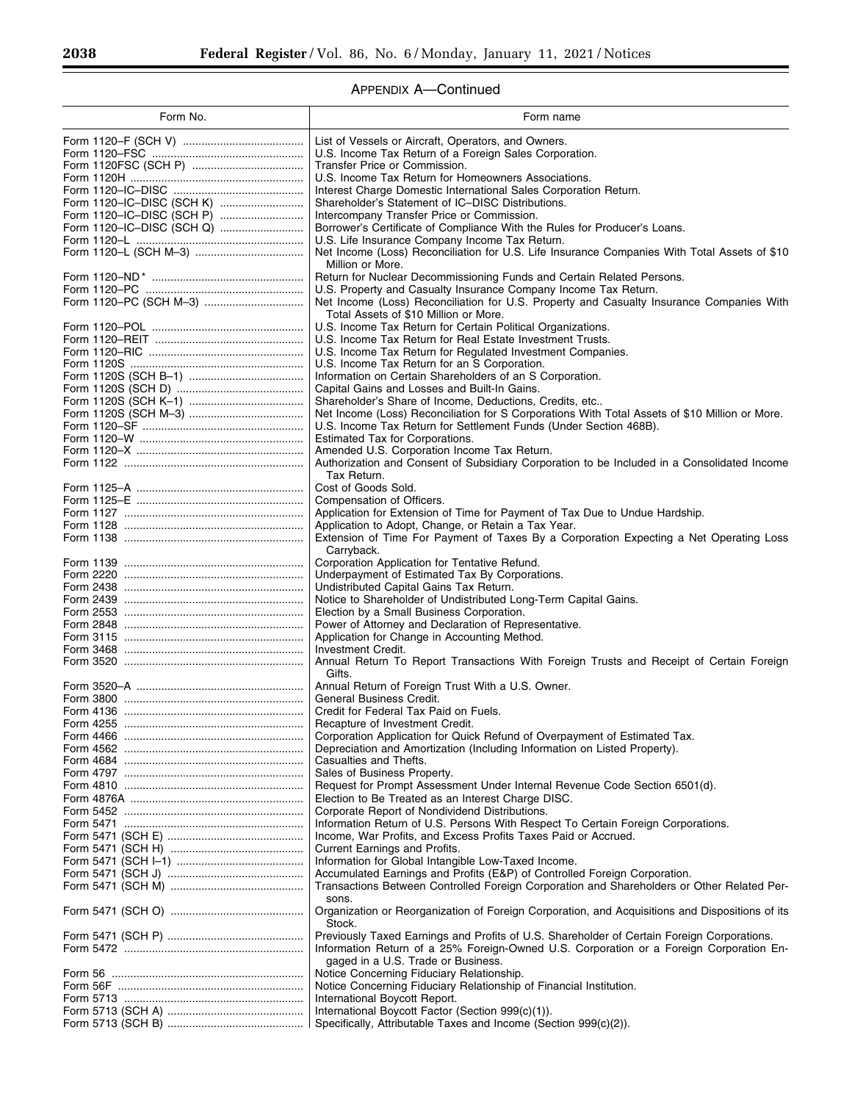Ξ

٠

# APPENDIX A—Continued

| Form No.                  | Form name                                                                                                                                                                             |
|---------------------------|---------------------------------------------------------------------------------------------------------------------------------------------------------------------------------------|
|                           | List of Vessels or Aircraft, Operators, and Owners.                                                                                                                                   |
|                           | U.S. Income Tax Return of a Foreign Sales Corporation.                                                                                                                                |
|                           | Transfer Price or Commission.                                                                                                                                                         |
|                           | U.S. Income Tax Return for Homeowners Associations.<br>Interest Charge Domestic International Sales Corporation Return.                                                               |
|                           | Shareholder's Statement of IC-DISC Distributions.                                                                                                                                     |
|                           | Intercompany Transfer Price or Commission.                                                                                                                                            |
| Form 1120-IC-DISC (SCH Q) | Borrower's Certificate of Compliance With the Rules for Producer's Loans.                                                                                                             |
|                           | U.S. Life Insurance Company Income Tax Return.                                                                                                                                        |
|                           | Net Income (Loss) Reconciliation for U.S. Life Insurance Companies With Total Assets of \$10<br>Million or More.                                                                      |
|                           | Return for Nuclear Decommissioning Funds and Certain Related Persons.                                                                                                                 |
|                           | U.S. Property and Casualty Insurance Company Income Tax Return.                                                                                                                       |
|                           | Net Income (Loss) Reconciliation for U.S. Property and Casualty Insurance Companies With                                                                                              |
|                           | Total Assets of \$10 Million or More.<br>U.S. Income Tax Return for Certain Political Organizations.                                                                                  |
|                           | U.S. Income Tax Return for Real Estate Investment Trusts.                                                                                                                             |
|                           | U.S. Income Tax Return for Regulated Investment Companies.                                                                                                                            |
|                           | U.S. Income Tax Return for an S Corporation.                                                                                                                                          |
|                           | Information on Certain Shareholders of an S Corporation.                                                                                                                              |
|                           | Capital Gains and Losses and Built-In Gains.<br>Shareholder's Share of Income, Deductions, Credits, etc                                                                               |
|                           | Net Income (Loss) Reconciliation for S Corporations With Total Assets of \$10 Million or More.                                                                                        |
|                           | U.S. Income Tax Return for Settlement Funds (Under Section 468B).                                                                                                                     |
|                           | Estimated Tax for Corporations.                                                                                                                                                       |
|                           | Amended U.S. Corporation Income Tax Return.<br>Authorization and Consent of Subsidiary Corporation to be Included in a Consolidated Income                                            |
|                           | Tax Return.                                                                                                                                                                           |
|                           | Cost of Goods Sold.                                                                                                                                                                   |
|                           | Compensation of Officers.                                                                                                                                                             |
|                           | Application for Extension of Time for Payment of Tax Due to Undue Hardship.                                                                                                           |
|                           | Application to Adopt, Change, or Retain a Tax Year.                                                                                                                                   |
|                           | Extension of Time For Payment of Taxes By a Corporation Expecting a Net Operating Loss<br>Carryback.                                                                                  |
|                           | Corporation Application for Tentative Refund.                                                                                                                                         |
|                           | Underpayment of Estimated Tax By Corporations.                                                                                                                                        |
|                           | Undistributed Capital Gains Tax Return.                                                                                                                                               |
|                           | Notice to Shareholder of Undistributed Long-Term Capital Gains.<br>Election by a Small Business Corporation.                                                                          |
|                           | Power of Attorney and Declaration of Representative.                                                                                                                                  |
|                           | Application for Change in Accounting Method.                                                                                                                                          |
|                           | Investment Credit.                                                                                                                                                                    |
|                           | Annual Return To Report Transactions With Foreign Trusts and Receipt of Certain Foreign<br>Gifts.                                                                                     |
|                           | Annual Return of Foreign Trust With a U.S. Owner.                                                                                                                                     |
|                           | General Business Credit.                                                                                                                                                              |
|                           | Credit for Federal Tax Paid on Fuels.                                                                                                                                                 |
|                           | Recapture of Investment Credit.<br>Corporation Application for Quick Refund of Overpayment of Estimated Tax.                                                                          |
|                           | Depreciation and Amortization (Including Information on Listed Property).                                                                                                             |
|                           | Casualties and Thefts.                                                                                                                                                                |
|                           | Sales of Business Property.                                                                                                                                                           |
|                           | Request for Prompt Assessment Under Internal Revenue Code Section 6501(d).<br>Election to Be Treated as an Interest Charge DISC.                                                      |
|                           | Corporate Report of Nondividend Distributions.                                                                                                                                        |
|                           | Information Return of U.S. Persons With Respect To Certain Foreign Corporations.                                                                                                      |
|                           | Income, War Profits, and Excess Profits Taxes Paid or Accrued.                                                                                                                        |
|                           | Current Earnings and Profits.                                                                                                                                                         |
|                           | Information for Global Intangible Low-Taxed Income.<br>Accumulated Earnings and Profits (E&P) of Controlled Foreign Corporation.                                                      |
|                           | Transactions Between Controlled Foreign Corporation and Shareholders or Other Related Per-                                                                                            |
|                           | sons.                                                                                                                                                                                 |
|                           | Organization or Reorganization of Foreign Corporation, and Acquisitions and Dispositions of its                                                                                       |
|                           | Stock.                                                                                                                                                                                |
|                           | Previously Taxed Earnings and Profits of U.S. Shareholder of Certain Foreign Corporations.<br>Information Return of a 25% Foreign-Owned U.S. Corporation or a Foreign Corporation En- |
|                           | gaged in a U.S. Trade or Business.                                                                                                                                                    |
|                           | Notice Concerning Fiduciary Relationship.                                                                                                                                             |
|                           | Notice Concerning Fiduciary Relationship of Financial Institution.                                                                                                                    |
|                           | International Boycott Report.                                                                                                                                                         |
|                           | International Boycott Factor (Section 999(c)(1)).<br>Specifically, Attributable Taxes and Income (Section 999(c)(2)).                                                                 |
|                           |                                                                                                                                                                                       |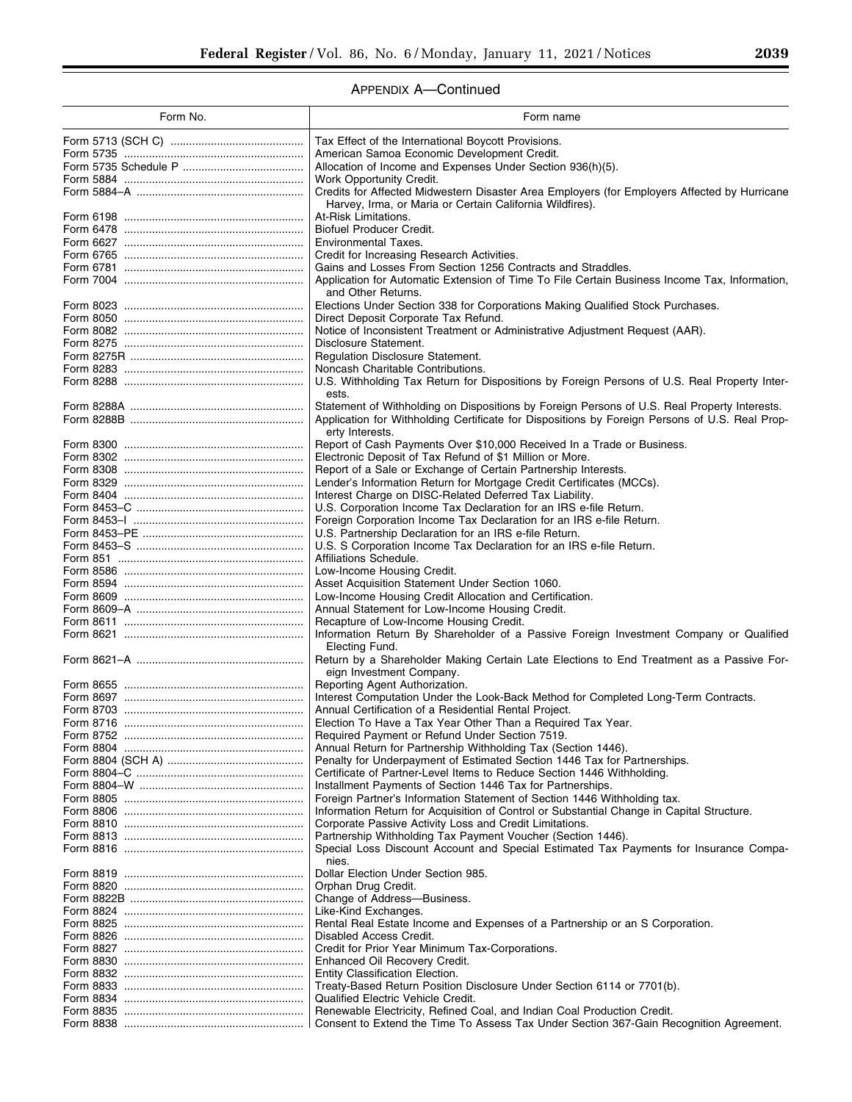# APPENDIX A—Continued

| Form No.  | Form name                                                                                                                                                |
|-----------|----------------------------------------------------------------------------------------------------------------------------------------------------------|
|           | Tax Effect of the International Boycott Provisions.                                                                                                      |
|           | American Samoa Economic Development Credit.                                                                                                              |
|           | Allocation of Income and Expenses Under Section 936(h)(5).                                                                                               |
|           | Work Opportunity Credit.                                                                                                                                 |
|           | Credits for Affected Midwestern Disaster Area Employers (for Employers Affected by Hurricane<br>Harvey, Irma, or Maria or Certain California Wildfires). |
|           | At-Risk Limitations.                                                                                                                                     |
|           | <b>Biofuel Producer Credit.</b>                                                                                                                          |
|           | Environmental Taxes.                                                                                                                                     |
|           | Credit for Increasing Research Activities.                                                                                                               |
|           | Gains and Losses From Section 1256 Contracts and Straddles.                                                                                              |
|           | Application for Automatic Extension of Time To File Certain Business Income Tax, Information,<br>and Other Returns.                                      |
|           | Elections Under Section 338 for Corporations Making Qualified Stock Purchases.                                                                           |
|           | Direct Deposit Corporate Tax Refund.                                                                                                                     |
|           | Notice of Inconsistent Treatment or Administrative Adjustment Request (AAR).                                                                             |
|           | Disclosure Statement.                                                                                                                                    |
|           | <b>Regulation Disclosure Statement.</b>                                                                                                                  |
|           | Noncash Charitable Contributions.<br>U.S. Withholding Tax Return for Dispositions by Foreign Persons of U.S. Real Property Inter-                        |
|           | ests.                                                                                                                                                    |
|           | Statement of Withholding on Dispositions by Foreign Persons of U.S. Real Property Interests.                                                             |
|           | Application for Withholding Certificate for Dispositions by Foreign Persons of U.S. Real Prop-                                                           |
|           | erty Interests.                                                                                                                                          |
|           | Report of Cash Payments Over \$10,000 Received In a Trade or Business.<br>Electronic Deposit of Tax Refund of \$1 Million or More.                       |
|           | Report of a Sale or Exchange of Certain Partnership Interests.                                                                                           |
|           | Lender's Information Return for Mortgage Credit Certificates (MCCs).                                                                                     |
|           | Interest Charge on DISC-Related Deferred Tax Liability.                                                                                                  |
|           | U.S. Corporation Income Tax Declaration for an IRS e-file Return.                                                                                        |
|           | Foreign Corporation Income Tax Declaration for an IRS e-file Return.                                                                                     |
|           | U.S. Partnership Declaration for an IRS e-file Return.                                                                                                   |
|           | U.S. S Corporation Income Tax Declaration for an IRS e-file Return.<br>Affiliations Schedule.                                                            |
|           | Low-Income Housing Credit.                                                                                                                               |
|           | Asset Acquisition Statement Under Section 1060.                                                                                                          |
|           | Low-Income Housing Credit Allocation and Certification.                                                                                                  |
|           | Annual Statement for Low-Income Housing Credit.                                                                                                          |
|           | Recapture of Low-Income Housing Credit.                                                                                                                  |
|           | Information Return By Shareholder of a Passive Foreign Investment Company or Qualified<br>Electing Fund.                                                 |
|           | Return by a Shareholder Making Certain Late Elections to End Treatment as a Passive For-                                                                 |
|           | eign Investment Company.                                                                                                                                 |
|           | Reporting Agent Authorization.                                                                                                                           |
|           | Interest Computation Under the Look-Back Method for Completed Long-Term Contracts.                                                                       |
|           | Annual Certification of a Residential Rental Project.                                                                                                    |
| Form 8716 | Election To Have a Tax Year Other Than a Required Tax Year.<br>Required Payment or Refund Under Section 7519.                                            |
|           | Annual Return for Partnership Withholding Tax (Section 1446).                                                                                            |
|           | Penalty for Underpayment of Estimated Section 1446 Tax for Partnerships.                                                                                 |
|           | Certificate of Partner-Level Items to Reduce Section 1446 Withholding.                                                                                   |
|           | Installment Payments of Section 1446 Tax for Partnerships.                                                                                               |
|           | Foreign Partner's Information Statement of Section 1446 Withholding tax.                                                                                 |
|           | Information Return for Acquisition of Control or Substantial Change in Capital Structure.<br>Corporate Passive Activity Loss and Credit Limitations.     |
|           | Partnership Withholding Tax Payment Voucher (Section 1446).                                                                                              |
|           | Special Loss Discount Account and Special Estimated Tax Payments for Insurance Compa-                                                                    |
|           | nies.                                                                                                                                                    |
|           | Dollar Election Under Section 985.                                                                                                                       |
|           | Orphan Drug Credit.<br>Change of Address-Business.                                                                                                       |
|           | Like-Kind Exchanges.                                                                                                                                     |
|           | Rental Real Estate Income and Expenses of a Partnership or an S Corporation.                                                                             |
|           | Disabled Access Credit.                                                                                                                                  |
|           | Credit for Prior Year Minimum Tax-Corporations.                                                                                                          |
|           | Enhanced Oil Recovery Credit.                                                                                                                            |
|           | Entity Classification Election.<br>Treaty-Based Return Position Disclosure Under Section 6114 or 7701(b).                                                |
|           | Qualified Electric Vehicle Credit.                                                                                                                       |
|           | Renewable Electricity, Refined Coal, and Indian Coal Production Credit.                                                                                  |
|           | Consent to Extend the Time To Assess Tax Under Section 367-Gain Recognition Agreement.                                                                   |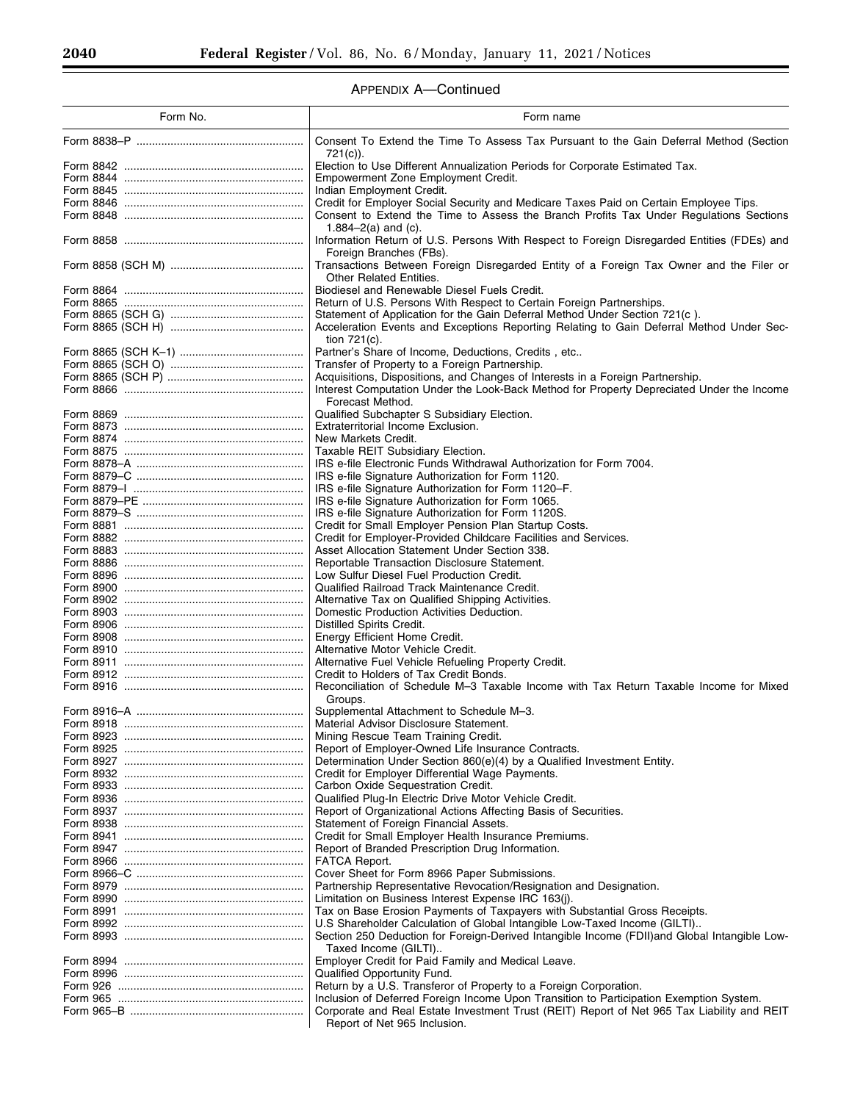Ξ

# APPENDIX A—Continued

| Form No.  | Form name                                                                                                                                                                       |
|-----------|---------------------------------------------------------------------------------------------------------------------------------------------------------------------------------|
|           | Consent To Extend the Time To Assess Tax Pursuant to the Gain Deferral Method (Section                                                                                          |
|           | 721(c)).<br>Election to Use Different Annualization Periods for Corporate Estimated Tax.                                                                                        |
|           | Empowerment Zone Employment Credit.                                                                                                                                             |
|           | Indian Employment Credit.                                                                                                                                                       |
|           | Credit for Employer Social Security and Medicare Taxes Paid on Certain Employee Tips.<br>Consent to Extend the Time to Assess the Branch Profits Tax Under Regulations Sections |
|           | 1.884 $-2(a)$ and (c).                                                                                                                                                          |
|           | Information Return of U.S. Persons With Respect to Foreign Disregarded Entities (FDEs) and<br>Foreign Branches (FBs).                                                           |
|           | Transactions Between Foreign Disregarded Entity of a Foreign Tax Owner and the Filer or<br><b>Other Related Entities.</b>                                                       |
|           | Biodiesel and Renewable Diesel Fuels Credit.                                                                                                                                    |
|           | Return of U.S. Persons With Respect to Certain Foreign Partnerships.                                                                                                            |
|           | Statement of Application for the Gain Deferral Method Under Section 721(c).                                                                                                     |
|           | Acceleration Events and Exceptions Reporting Relating to Gain Deferral Method Under Sec-<br>tion $721(c)$ .                                                                     |
|           | Partner's Share of Income, Deductions, Credits, etc                                                                                                                             |
|           | Transfer of Property to a Foreign Partnership.                                                                                                                                  |
|           | Acquisitions, Dispositions, and Changes of Interests in a Foreign Partnership.                                                                                                  |
|           | Interest Computation Under the Look-Back Method for Property Depreciated Under the Income<br>Forecast Method.                                                                   |
|           | Qualified Subchapter S Subsidiary Election.                                                                                                                                     |
|           | Extraterritorial Income Exclusion.                                                                                                                                              |
|           | New Markets Credit.                                                                                                                                                             |
|           | Taxable REIT Subsidiary Election.                                                                                                                                               |
|           | IRS e-file Electronic Funds Withdrawal Authorization for Form 7004.                                                                                                             |
|           | IRS e-file Signature Authorization for Form 1120.                                                                                                                               |
|           | IRS e-file Signature Authorization for Form 1120–F.                                                                                                                             |
|           | IRS e-file Signature Authorization for Form 1065.                                                                                                                               |
|           | IRS e-file Signature Authorization for Form 1120S.                                                                                                                              |
|           | Credit for Small Employer Pension Plan Startup Costs.                                                                                                                           |
|           | Credit for Employer-Provided Childcare Facilities and Services.                                                                                                                 |
|           | Asset Allocation Statement Under Section 338.                                                                                                                                   |
|           | Reportable Transaction Disclosure Statement.                                                                                                                                    |
|           | Low Sulfur Diesel Fuel Production Credit.                                                                                                                                       |
|           | Qualified Railroad Track Maintenance Credit.<br>Alternative Tax on Qualified Shipping Activities.                                                                               |
|           | Domestic Production Activities Deduction.                                                                                                                                       |
|           | Distilled Spirits Credit.                                                                                                                                                       |
|           | Energy Efficient Home Credit.                                                                                                                                                   |
|           | Alternative Motor Vehicle Credit.                                                                                                                                               |
|           | Alternative Fuel Vehicle Refueling Property Credit.                                                                                                                             |
|           | Credit to Holders of Tax Credit Bonds.                                                                                                                                          |
|           | Reconciliation of Schedule M-3 Taxable Income with Tax Return Taxable Income for Mixed<br>Groups.                                                                               |
|           | Supplemental Attachment to Schedule M-3.                                                                                                                                        |
|           | Material Advisor Disclosure Statement.                                                                                                                                          |
|           | Mining Rescue Team Training Credit.                                                                                                                                             |
| Form 8925 | Report of Employer-Owned Life Insurance Contracts.                                                                                                                              |
|           | Determination Under Section 860(e)(4) by a Qualified Investment Entity.                                                                                                         |
|           | Credit for Employer Differential Wage Payments.                                                                                                                                 |
|           | Carbon Oxide Sequestration Credit.                                                                                                                                              |
|           | Qualified Plug-In Electric Drive Motor Vehicle Credit.                                                                                                                          |
|           | Report of Organizational Actions Affecting Basis of Securities.<br>Statement of Foreign Financial Assets.                                                                       |
|           | Credit for Small Employer Health Insurance Premiums.                                                                                                                            |
|           | Report of Branded Prescription Drug Information.                                                                                                                                |
|           | FATCA Report.                                                                                                                                                                   |
|           | Cover Sheet for Form 8966 Paper Submissions.                                                                                                                                    |
|           | Partnership Representative Revocation/Resignation and Designation.                                                                                                              |
|           | Limitation on Business Interest Expense IRC 163(j).                                                                                                                             |
|           | Tax on Base Erosion Payments of Taxpayers with Substantial Gross Receipts.                                                                                                      |
|           | U.S Shareholder Calculation of Global Intangible Low-Taxed Income (GILTI)                                                                                                       |
|           | Section 250 Deduction for Foreign-Derived Intangible Income (FDII) and Global Intangible Low-                                                                                   |
|           | Taxed Income (GILTI)                                                                                                                                                            |
|           | Employer Credit for Paid Family and Medical Leave.<br>Qualified Opportunity Fund.                                                                                               |
|           | Return by a U.S. Transferor of Property to a Foreign Corporation.                                                                                                               |
| Form 965  | Inclusion of Deferred Foreign Income Upon Transition to Participation Exemption System.                                                                                         |
|           | Corporate and Real Estate Investment Trust (REIT) Report of Net 965 Tax Liability and REIT                                                                                      |
|           | Report of Net 965 Inclusion.                                                                                                                                                    |